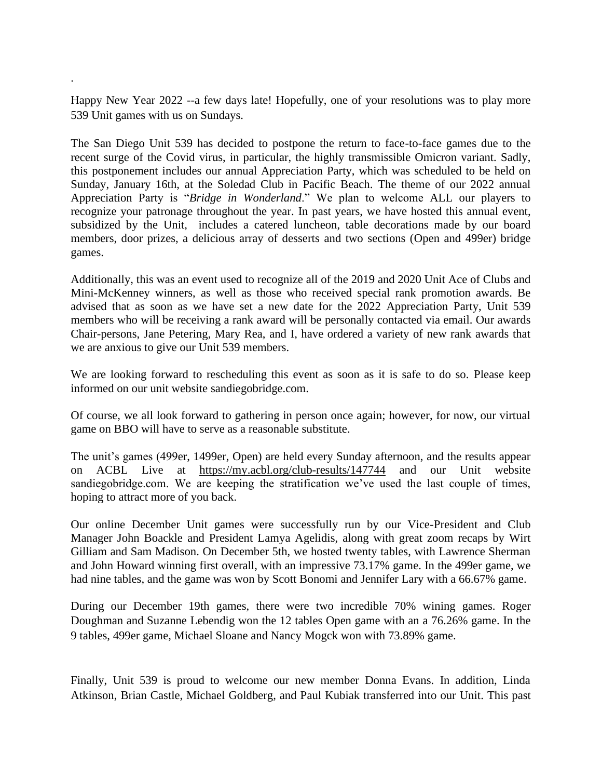Happy New Year 2022 --a few days late! Hopefully, one of your resolutions was to play more 539 Unit games with us on Sundays.

.

The San Diego Unit 539 has decided to postpone the return to face-to-face games due to the recent surge of the Covid virus, in particular, the highly transmissible Omicron variant. Sadly, this postponement includes our annual Appreciation Party, which was scheduled to be held on Sunday, January 16th, at the Soledad Club in Pacific Beach. The theme of our 2022 annual Appreciation Party is "*Bridge in Wonderland*." We plan to welcome ALL our players to recognize your patronage throughout the year. In past years, we have hosted this annual event, subsidized by the Unit, includes a catered luncheon, table decorations made by our board members, door prizes, a delicious array of desserts and two sections (Open and 499er) bridge games.

Additionally, this was an event used to recognize all of the 2019 and 2020 Unit Ace of Clubs and Mini-McKenney winners, as well as those who received special rank promotion awards. Be advised that as soon as we have set a new date for the 2022 Appreciation Party, Unit 539 members who will be receiving a rank award will be personally contacted via email. Our awards Chair-persons, Jane Petering, Mary Rea, and I, have ordered a variety of new rank awards that we are anxious to give our Unit 539 members.

We are looking forward to rescheduling this event as soon as it is safe to do so. Please keep informed on our unit website sandiegobridge.com.

Of course, we all look forward to gathering in person once again; however, for now, our virtual game on BBO will have to serve as a reasonable substitute.

The unit's games (499er, 1499er, Open) are held every Sunday afternoon, and the results appear on ACBL Live at <https://my.acbl.org/club-results/147744> and our Unit website sandiegobridge.com. We are keeping the stratification we've used the last couple of times, hoping to attract more of you back.

Our online December Unit games were successfully run by our Vice-President and Club Manager John Boackle and President Lamya Agelidis, along with great zoom recaps by Wirt Gilliam and Sam Madison. On December 5th, we hosted twenty tables, with Lawrence Sherman and John Howard winning first overall, with an impressive 73.17% game. In the 499er game, we had nine tables, and the game was won by Scott Bonomi and Jennifer Lary with a 66.67% game.

During our December 19th games, there were two incredible 70% wining games. Roger Doughman and Suzanne Lebendig won the 12 tables Open game with an a 76.26% game. In the 9 tables, 499er game, Michael Sloane and Nancy Mogck won with 73.89% game.

Finally, Unit 539 is proud to welcome our new member Donna Evans. In addition, Linda Atkinson, Brian Castle, Michael Goldberg, and Paul Kubiak transferred into our Unit. This past